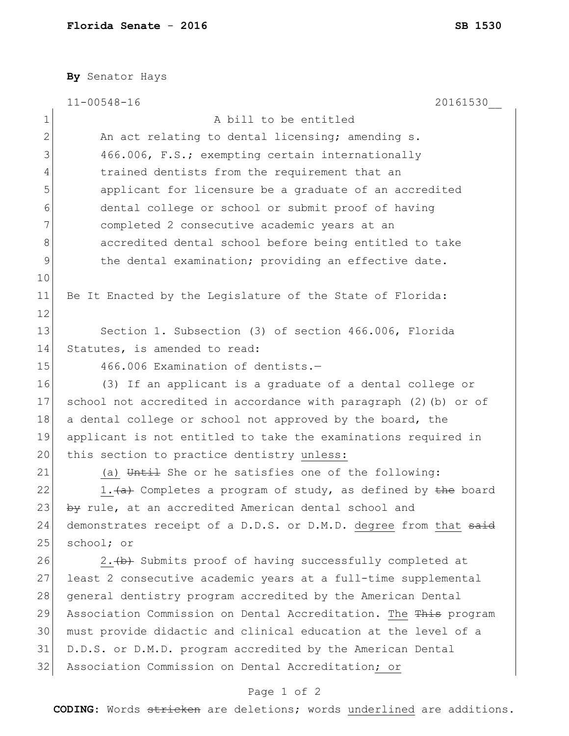**By** Senator Hays

| 1<br>$\mathbf{2}$ | A bill to be entitled<br>An act relating to dental licensing; amending s. |
|-------------------|---------------------------------------------------------------------------|
|                   |                                                                           |
|                   |                                                                           |
| 3                 | 466.006, F.S.; exempting certain internationally                          |
| 4                 | trained dentists from the requirement that an                             |
| 5                 | applicant for licensure be a graduate of an accredited                    |
| 6                 | dental college or school or submit proof of having                        |
| 7                 | completed 2 consecutive academic years at an                              |
| 8                 | accredited dental school before being entitled to take                    |
| $\mathcal{G}$     | the dental examination; providing an effective date.                      |
| 10                |                                                                           |
| 11                | Be It Enacted by the Legislature of the State of Florida:                 |
| 12                |                                                                           |
| 13                | Section 1. Subsection (3) of section 466.006, Florida                     |
| 14                | Statutes, is amended to read:                                             |
| 15                | 466.006 Examination of dentists.-                                         |
| 16                | (3) If an applicant is a graduate of a dental college or                  |
| 17                | school not accredited in accordance with paragraph (2) (b) or of          |
| 18                | a dental college or school not approved by the board, the                 |
| 19                | applicant is not entitled to take the examinations required in            |
| 20                | this section to practice dentistry unless:                                |
| 21                | (a) Until She or he satisfies one of the following:                       |
| 22                | 1. (a) Completes a program of study, as defined by the board              |
| 23                | by rule, at an accredited American dental school and                      |
| 24                | demonstrates receipt of a D.D.S. or D.M.D. degree from that said          |
| 25                | school; or                                                                |
| 26                | 2. (b) Submits proof of having successfully completed at                  |
| 27                | least 2 consecutive academic years at a full-time supplemental            |
| 28                | general dentistry program accredited by the American Dental               |
| 29                | Association Commission on Dental Accreditation. The This program          |
| 30                | must provide didactic and clinical education at the level of a            |
| 31                | D.D.S. or D.M.D. program accredited by the American Dental                |
| 32                | Association Commission on Dental Accreditation; or                        |

## Page 1 of 2

**CODING**: Words stricken are deletions; words underlined are additions.